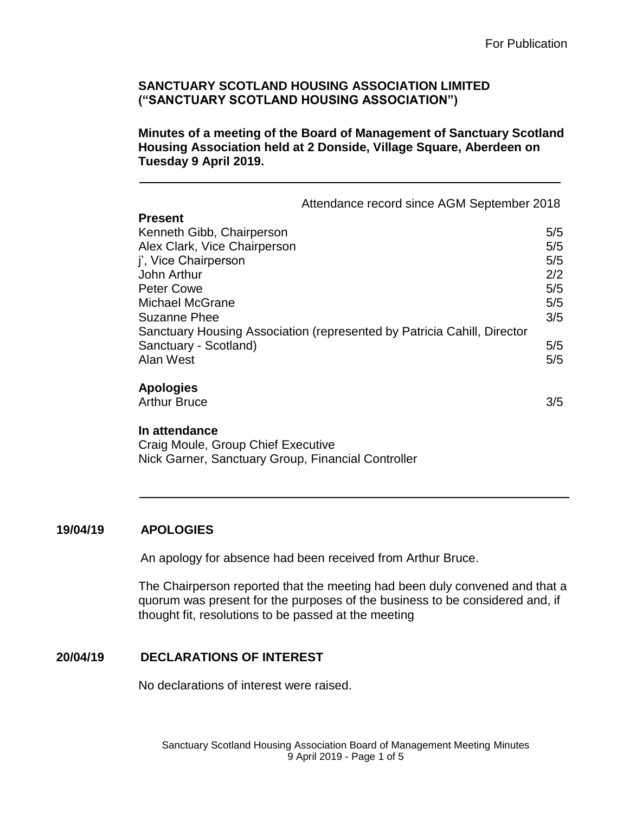**Minutes of a meeting of the Board of Management of Sanctuary Scotland Housing Association held at 2 Donside, Village Square, Aberdeen on Tuesday 9 April 2019.**

|                                                    | Attendance record since AGM September 2018                              |     |
|----------------------------------------------------|-------------------------------------------------------------------------|-----|
| <b>Present</b>                                     |                                                                         |     |
| Kenneth Gibb, Chairperson                          |                                                                         | 5/5 |
| Alex Clark, Vice Chairperson                       |                                                                         | 5/5 |
| j', Vice Chairperson                               |                                                                         | 5/5 |
| John Arthur                                        |                                                                         | 2/2 |
| <b>Peter Cowe</b>                                  |                                                                         | 5/5 |
| Michael McGrane                                    |                                                                         | 5/5 |
| <b>Suzanne Phee</b>                                |                                                                         | 3/5 |
|                                                    | Sanctuary Housing Association (represented by Patricia Cahill, Director |     |
| Sanctuary - Scotland)                              |                                                                         | 5/5 |
| Alan West                                          |                                                                         | 5/5 |
|                                                    |                                                                         |     |
| <b>Apologies</b>                                   |                                                                         |     |
| <b>Arthur Bruce</b>                                |                                                                         | 3/5 |
|                                                    |                                                                         |     |
| In attendance                                      |                                                                         |     |
| Craig Moule, Group Chief Executive                 |                                                                         |     |
| Nick Garner, Sanctuary Group, Financial Controller |                                                                         |     |

### **19/04/19 APOLOGIES**

An apology for absence had been received from Arthur Bruce.

The Chairperson reported that the meeting had been duly convened and that a quorum was present for the purposes of the business to be considered and, if thought fit, resolutions to be passed at the meeting

### **20/04/19 DECLARATIONS OF INTEREST**

No declarations of interest were raised.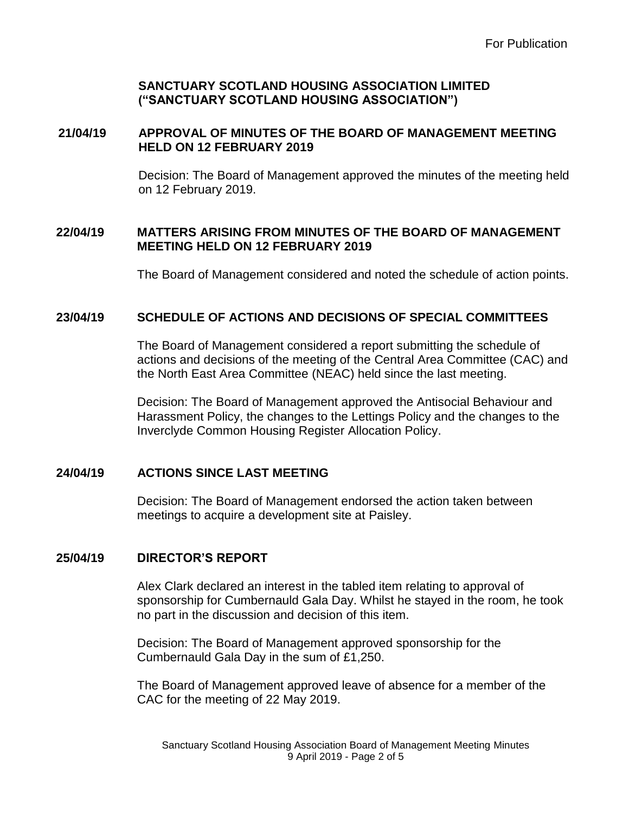# **21/04/19 APPROVAL OF MINUTES OF THE BOARD OF MANAGEMENT MEETING HELD ON 12 FEBRUARY 2019**

Decision: The Board of Management approved the minutes of the meeting held on 12 February 2019.

# **22/04/19 MATTERS ARISING FROM MINUTES OF THE BOARD OF MANAGEMENT MEETING HELD ON 12 FEBRUARY 2019**

The Board of Management considered and noted the schedule of action points.

# **23/04/19 SCHEDULE OF ACTIONS AND DECISIONS OF SPECIAL COMMITTEES**

The Board of Management considered a report submitting the schedule of actions and decisions of the meeting of the Central Area Committee (CAC) and the North East Area Committee (NEAC) held since the last meeting.

Decision: The Board of Management approved the Antisocial Behaviour and Harassment Policy, the changes to the Lettings Policy and the changes to the Inverclyde Common Housing Register Allocation Policy.

### **24/04/19 ACTIONS SINCE LAST MEETING**

Decision: The Board of Management endorsed the action taken between meetings to acquire a development site at Paisley.

# **25/04/19 DIRECTOR'S REPORT**

Alex Clark declared an interest in the tabled item relating to approval of sponsorship for Cumbernauld Gala Day. Whilst he stayed in the room, he took no part in the discussion and decision of this item.

Decision: The Board of Management approved sponsorship for the Cumbernauld Gala Day in the sum of £1,250.

The Board of Management approved leave of absence for a member of the CAC for the meeting of 22 May 2019.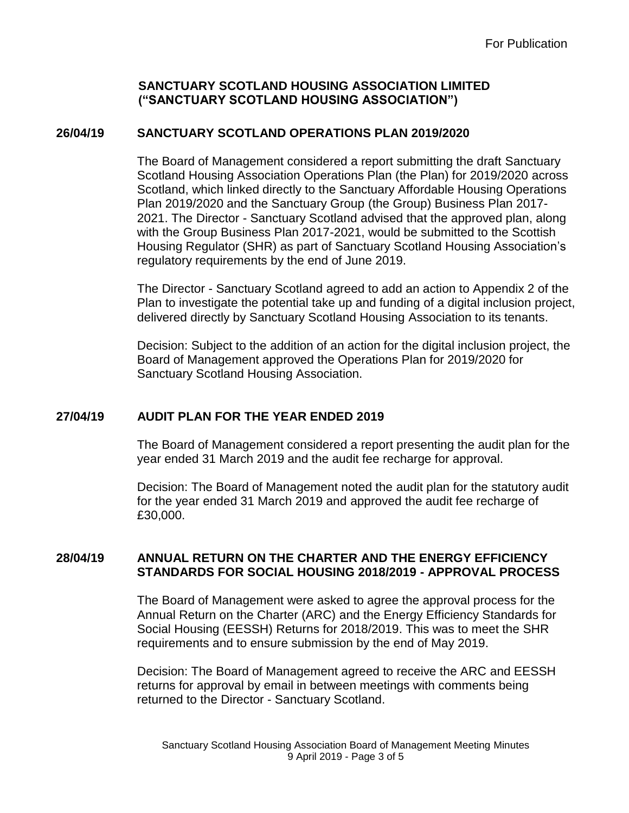## **26/04/19 SANCTUARY SCOTLAND OPERATIONS PLAN 2019/2020**

The Board of Management considered a report submitting the draft Sanctuary Scotland Housing Association Operations Plan (the Plan) for 2019/2020 across Scotland, which linked directly to the Sanctuary Affordable Housing Operations Plan 2019/2020 and the Sanctuary Group (the Group) Business Plan 2017- 2021. The Director - Sanctuary Scotland advised that the approved plan, along with the Group Business Plan 2017-2021, would be submitted to the Scottish Housing Regulator (SHR) as part of Sanctuary Scotland Housing Association's regulatory requirements by the end of June 2019.

The Director - Sanctuary Scotland agreed to add an action to Appendix 2 of the Plan to investigate the potential take up and funding of a digital inclusion project, delivered directly by Sanctuary Scotland Housing Association to its tenants.

Decision: Subject to the addition of an action for the digital inclusion project, the Board of Management approved the Operations Plan for 2019/2020 for Sanctuary Scotland Housing Association.

# **27/04/19 AUDIT PLAN FOR THE YEAR ENDED 2019**

The Board of Management considered a report presenting the audit plan for the year ended 31 March 2019 and the audit fee recharge for approval.

Decision: The Board of Management noted the audit plan for the statutory audit for the year ended 31 March 2019 and approved the audit fee recharge of £30,000.

# **28/04/19 ANNUAL RETURN ON THE CHARTER AND THE ENERGY EFFICIENCY STANDARDS FOR SOCIAL HOUSING 2018/2019 - APPROVAL PROCESS**

The Board of Management were asked to agree the approval process for the Annual Return on the Charter (ARC) and the Energy Efficiency Standards for Social Housing (EESSH) Returns for 2018/2019. This was to meet the SHR requirements and to ensure submission by the end of May 2019.

Decision: The Board of Management agreed to receive the ARC and EESSH returns for approval by email in between meetings with comments being returned to the Director - Sanctuary Scotland.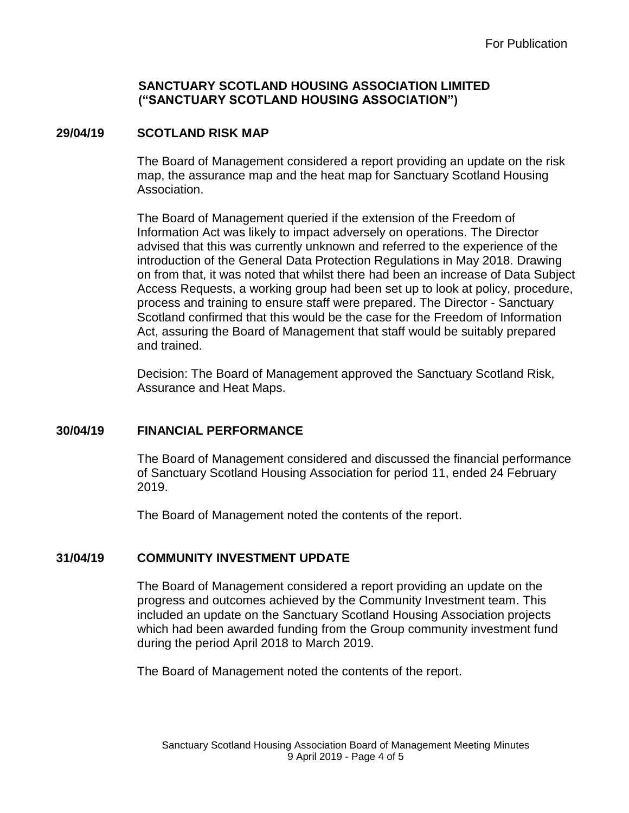## **29/04/19 SCOTLAND RISK MAP**

The Board of Management considered a report providing an update on the risk map, the assurance map and the heat map for Sanctuary Scotland Housing Association.

The Board of Management queried if the extension of the Freedom of Information Act was likely to impact adversely on operations. The Director advised that this was currently unknown and referred to the experience of the introduction of the General Data Protection Regulations in May 2018. Drawing on from that, it was noted that whilst there had been an increase of Data Subject Access Requests, a working group had been set up to look at policy, procedure, process and training to ensure staff were prepared. The Director - Sanctuary Scotland confirmed that this would be the case for the Freedom of Information Act, assuring the Board of Management that staff would be suitably prepared and trained.

Decision: The Board of Management approved the Sanctuary Scotland Risk, Assurance and Heat Maps.

### **30/04/19 FINANCIAL PERFORMANCE**

The Board of Management considered and discussed the financial performance of Sanctuary Scotland Housing Association for period 11, ended 24 February 2019.

The Board of Management noted the contents of the report.

### **31/04/19 COMMUNITY INVESTMENT UPDATE**

The Board of Management considered a report providing an update on the progress and outcomes achieved by the Community Investment team. This included an update on the Sanctuary Scotland Housing Association projects which had been awarded funding from the Group community investment fund during the period April 2018 to March 2019.

The Board of Management noted the contents of the report.